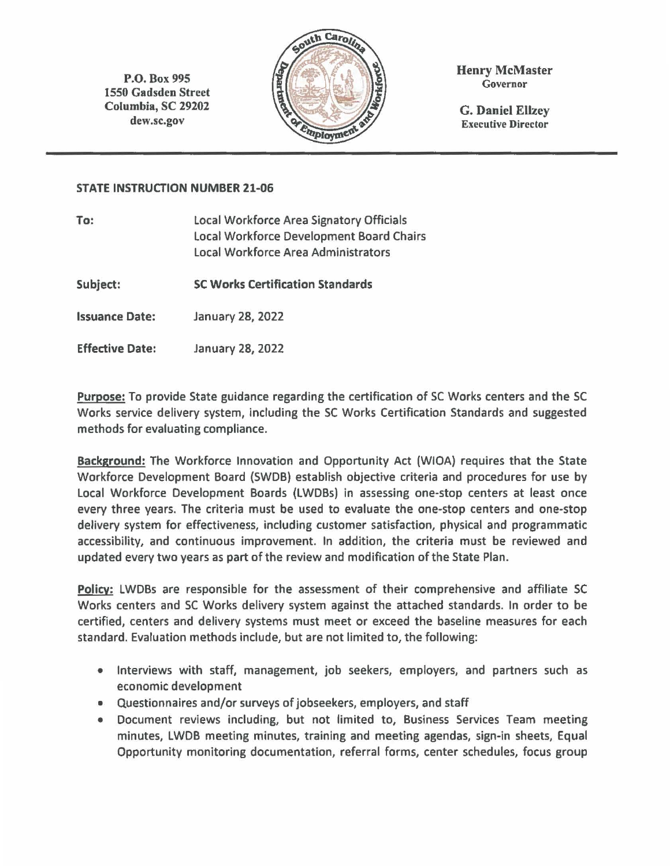P.O. Box 995 1550 Gadsden Street Columbia, SC 29202 dew.sc.gov



Henry McMaster Governor

G. Daniel Ellzey Executive Director

#### **STATE INSTRUCTION NUMBER 21-06**

| To:                    | Local Workforce Area Signatory Officials<br><b>Local Workforce Development Board Chairs</b><br>Local Workforce Area Administrators |  |  |  |  |  |
|------------------------|------------------------------------------------------------------------------------------------------------------------------------|--|--|--|--|--|
| Subject:               | <b>SC Works Certification Standards</b>                                                                                            |  |  |  |  |  |
| <b>Issuance Date:</b>  | January 28, 2022                                                                                                                   |  |  |  |  |  |
| <b>Effective Date:</b> | January 28, 2022                                                                                                                   |  |  |  |  |  |

**Purpose:** To provide State guidance regarding the certification of SC Works centers and the SC Works service delivery system, including the SC Works Certification Standards and suggested methods for evaluating compliance.

**Background:** The Workforce Innovation and Opportunity Act (WIOA) requires that the State Workforce Development Board (SWDB) establish objective criteria and procedures for use by Local Workforce Development Boards (LWDBs) in assessing one-stop centers at least once every three years. The criteria must be used to evaluate the one-stop centers and one-stop delivery system for effectiveness, including customer satisfaction, physical and programmatic accessibility, and continuous improvement. In addition, the criteria must be reviewed and updated every two years as part of the review and modification of the State Plan.

**Policy:** LWDBs are responsible for the assessment of their comprehensive and affiliate SC Works centers and SC Works delivery system against the attached standards. In order to be certified, centers and delivery systems must meet or exceed the baseline measures for each standard. Evaluation methods include, but are not limited to, the following:

- Interviews with staff, management, job seekers, employers, and partners such as economic development
- Questionnaires and/or surveys of jobseekers, employers, and staff
- Document reviews including, but not limited to, Business Services Team meeting minutes, LWDB meeting minutes, training and meeting agendas, sign-in sheets, Equal Opportunity monitoring documentation, referral forms, center schedules, focus group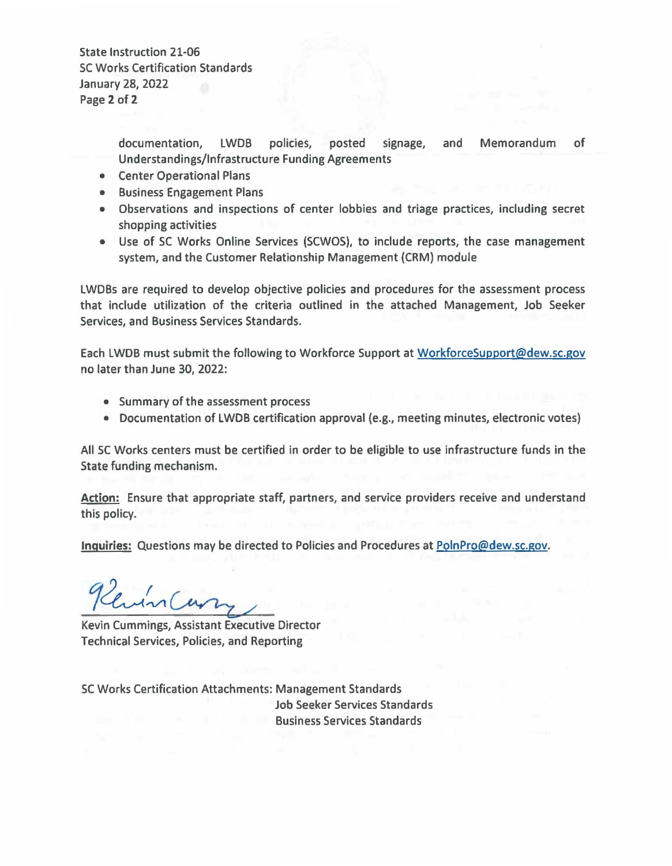State Instruction 21·06 SC Works Certification Standards January 28, 2022 Page 2 of 2

> documentation, LWDB policies, posted signage, and Memorandum of Understandings/Infrastructure Funding Agreements

- Center Operational Plans
- Business Engagement Plans
- Observations and inspections of center lobbies and triage practices, including secret shopping activities
- Use of SC Works Online Services (SCWOS), to include reports, the case management system, and the Customer Relationship Management (CRM) module

LWDBs are required to develop objective policies and procedures for the assessment process that include utilization of the criteria outlined in the attached Management, Job Seeker Services, and Business Services Standards.

Each LWOB must submit the following to Workforce Support at WorkforceSupport@dew.sc.gov no later than June 30, 2022:

- Summary of the assessment process
- Documentation of LWDB certification approval (e.g., meeting minutes, electronic votes)

All SC Works centers must be certified in order to be eligible to use infrastructure funds in the State funding mechanism.

**Action:** Ensure that appropriate staff, partners, and service providers receive and understand this policy.

**Inquiries:** Questions may be directed to Policies and Procedures at PolnPro@dew.sc.gov. *1~'.-v,~/* 

Kevin Cummings, Assistant Executive Director Technical Services, Policies, and Reporting

SC Works Certification Attachments: Management Standards Job Seeker Services Standards Business Services Standards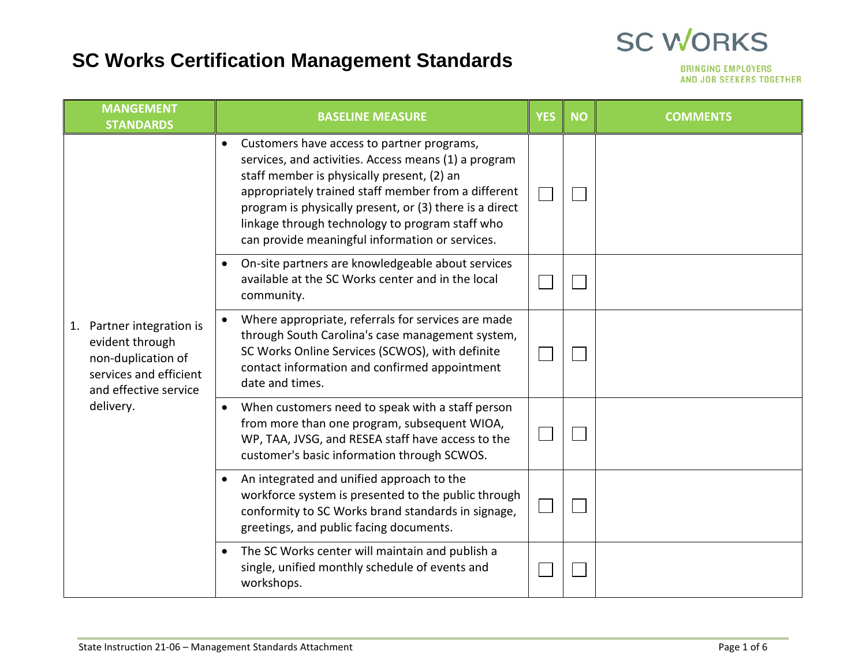## **SC Works Certification Management Standards**



|    | <b>MANGEMENT</b><br><b>STANDARDS</b>                                                                                            | <b>BASELINE MEASURE</b>                                                                                                                                                                                                                                                                                                                                                  | <b>YES</b> | <b>NO</b> | <b>COMMENTS</b> |
|----|---------------------------------------------------------------------------------------------------------------------------------|--------------------------------------------------------------------------------------------------------------------------------------------------------------------------------------------------------------------------------------------------------------------------------------------------------------------------------------------------------------------------|------------|-----------|-----------------|
|    | Partner integration is<br>evident through<br>non-duplication of<br>services and efficient<br>and effective service<br>delivery. | Customers have access to partner programs,<br>services, and activities. Access means (1) a program<br>staff member is physically present, (2) an<br>appropriately trained staff member from a different<br>program is physically present, or (3) there is a direct<br>linkage through technology to program staff who<br>can provide meaningful information or services. |            |           |                 |
|    |                                                                                                                                 | On-site partners are knowledgeable about services<br>available at the SC Works center and in the local<br>community.                                                                                                                                                                                                                                                     |            |           |                 |
| 1. |                                                                                                                                 | Where appropriate, referrals for services are made<br>through South Carolina's case management system,<br>SC Works Online Services (SCWOS), with definite<br>contact information and confirmed appointment<br>date and times.                                                                                                                                            |            |           |                 |
|    |                                                                                                                                 | When customers need to speak with a staff person<br>from more than one program, subsequent WIOA,<br>WP, TAA, JVSG, and RESEA staff have access to the<br>customer's basic information through SCWOS.                                                                                                                                                                     |            |           |                 |
|    |                                                                                                                                 | An integrated and unified approach to the<br>workforce system is presented to the public through<br>conformity to SC Works brand standards in signage,<br>greetings, and public facing documents.                                                                                                                                                                        |            |           |                 |
|    |                                                                                                                                 | The SC Works center will maintain and publish a<br>single, unified monthly schedule of events and<br>workshops.                                                                                                                                                                                                                                                          |            |           |                 |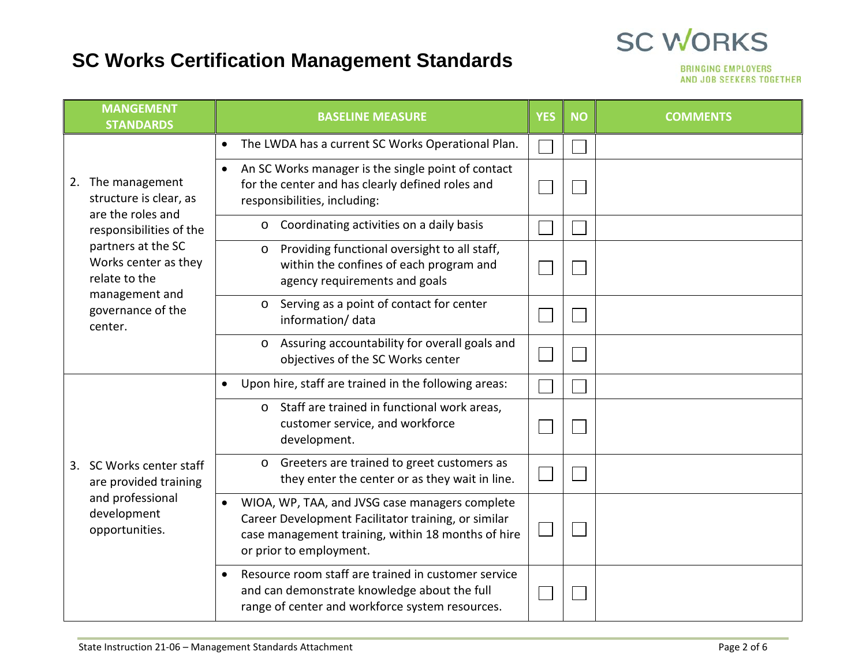#### **SC WORKS SC Works Certification Management Standards**

|    | <b>MANGEMENT</b><br><b>STANDARDS</b>                                                                          | <b>BASELINE MEASURE</b>                                                                                                                                                                             | <b>YES</b> | <b>NO</b> | <b>COMMENTS</b> |
|----|---------------------------------------------------------------------------------------------------------------|-----------------------------------------------------------------------------------------------------------------------------------------------------------------------------------------------------|------------|-----------|-----------------|
|    | 2. The management<br>structure is clear, as<br>are the roles and                                              | The LWDA has a current SC Works Operational Plan.<br>$\bullet$                                                                                                                                      |            |           |                 |
|    |                                                                                                               | An SC Works manager is the single point of contact<br>for the center and has clearly defined roles and<br>responsibilities, including:                                                              |            |           |                 |
|    | responsibilities of the                                                                                       | Coordinating activities on a daily basis<br>$\circ$                                                                                                                                                 |            |           |                 |
|    | partners at the SC<br>Works center as they<br>relate to the<br>management and<br>governance of the<br>center. | Providing functional oversight to all staff,<br>$\circ$<br>within the confines of each program and<br>agency requirements and goals                                                                 |            |           |                 |
|    |                                                                                                               | Serving as a point of contact for center<br>$\circ$<br>information/data                                                                                                                             |            |           |                 |
|    |                                                                                                               | Assuring accountability for overall goals and<br>$\circ$<br>objectives of the SC Works center                                                                                                       |            |           |                 |
|    |                                                                                                               | Upon hire, staff are trained in the following areas:                                                                                                                                                |            |           |                 |
|    |                                                                                                               | Staff are trained in functional work areas,<br>$\circ$<br>customer service, and workforce<br>development.                                                                                           |            |           |                 |
| 3. | SC Works center staff<br>are provided training                                                                | Greeters are trained to greet customers as<br>$\circ$<br>they enter the center or as they wait in line.                                                                                             |            |           |                 |
|    | and professional<br>development<br>opportunities.                                                             | WIOA, WP, TAA, and JVSG case managers complete<br>$\bullet$<br>Career Development Facilitator training, or similar<br>case management training, within 18 months of hire<br>or prior to employment. |            |           |                 |
|    |                                                                                                               | Resource room staff are trained in customer service<br>and can demonstrate knowledge about the full<br>range of center and workforce system resources.                                              |            |           |                 |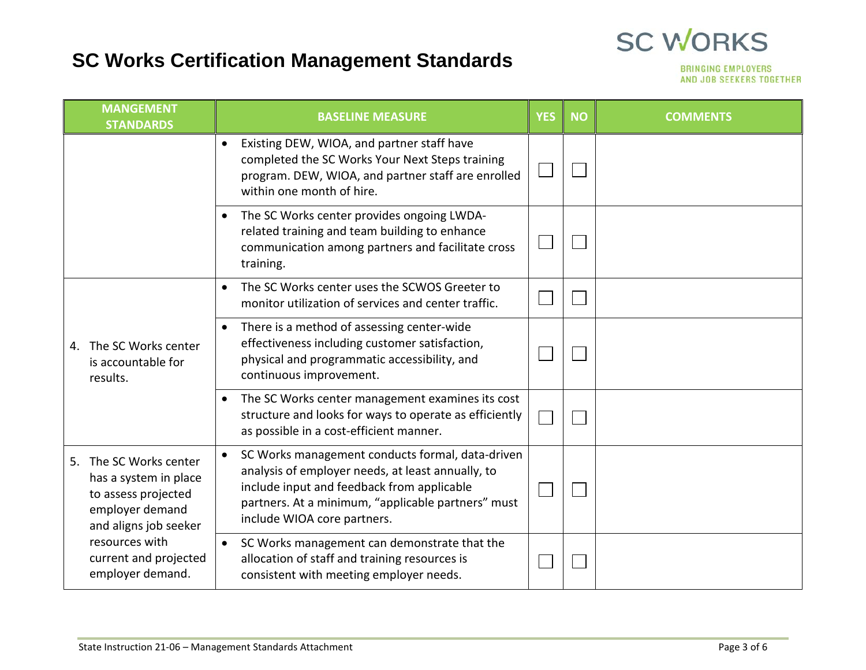## **SC Works Certification Management Standards**

| <b>MANGEMENT</b><br><b>STANDARDS</b>                                                                               | <b>BASELINE MEASURE</b>                                                                                                                                                                                                                               | <b>YES</b> | <b>NO</b> | <b>COMMENTS</b> |
|--------------------------------------------------------------------------------------------------------------------|-------------------------------------------------------------------------------------------------------------------------------------------------------------------------------------------------------------------------------------------------------|------------|-----------|-----------------|
|                                                                                                                    | Existing DEW, WIOA, and partner staff have<br>completed the SC Works Your Next Steps training<br>program. DEW, WIOA, and partner staff are enrolled<br>within one month of hire.                                                                      |            |           |                 |
|                                                                                                                    | The SC Works center provides ongoing LWDA-<br>related training and team building to enhance<br>communication among partners and facilitate cross<br>training.                                                                                         |            |           |                 |
|                                                                                                                    | The SC Works center uses the SCWOS Greeter to<br>monitor utilization of services and center traffic.                                                                                                                                                  |            |           |                 |
| 4. The SC Works center<br>is accountable for<br>results.                                                           | There is a method of assessing center-wide<br>effectiveness including customer satisfaction,<br>physical and programmatic accessibility, and<br>continuous improvement.                                                                               |            |           |                 |
|                                                                                                                    | The SC Works center management examines its cost<br>structure and looks for ways to operate as efficiently<br>as possible in a cost-efficient manner.                                                                                                 |            |           |                 |
| 5. The SC Works center<br>has a system in place<br>to assess projected<br>employer demand<br>and aligns job seeker | SC Works management conducts formal, data-driven<br>$\bullet$<br>analysis of employer needs, at least annually, to<br>include input and feedback from applicable<br>partners. At a minimum, "applicable partners" must<br>include WIOA core partners. |            |           |                 |
| resources with<br>current and projected<br>employer demand.                                                        | SC Works management can demonstrate that the<br>$\bullet$<br>allocation of staff and training resources is<br>consistent with meeting employer needs.                                                                                                 |            |           |                 |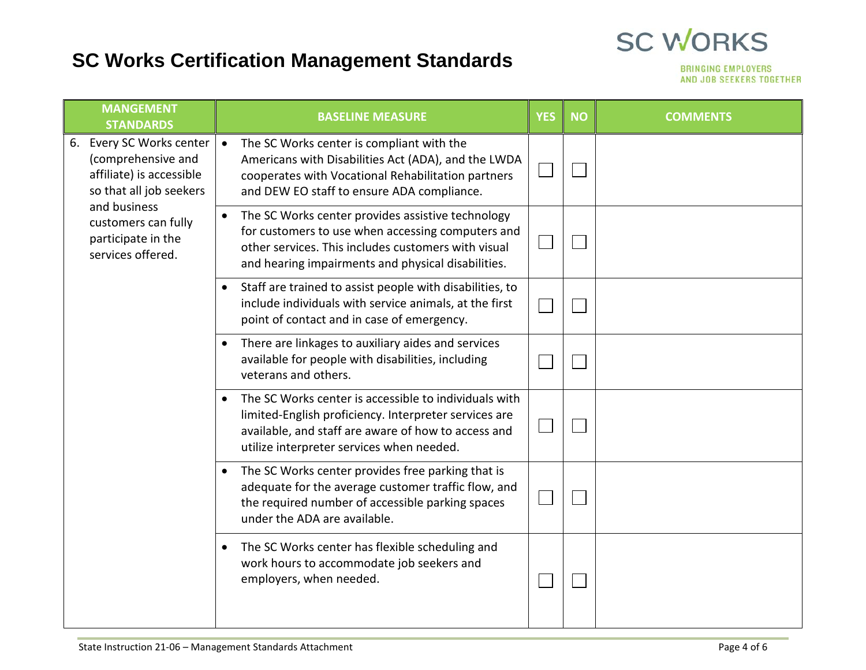## **SC Works Certification Management Standards**

|    | <b>MANGEMENT</b><br><b>STANDARDS</b>                                                                                                                                                              | <b>BASELINE MEASURE</b>                                                                                                                                                                                             | <b>YES</b> | <b>NO</b> | <b>COMMENTS</b> |
|----|---------------------------------------------------------------------------------------------------------------------------------------------------------------------------------------------------|---------------------------------------------------------------------------------------------------------------------------------------------------------------------------------------------------------------------|------------|-----------|-----------------|
| 6. | Every SC Works center<br>$\bullet$<br>(comprehensive and<br>affiliate) is accessible<br>so that all job seekers<br>and business<br>customers can fully<br>participate in the<br>services offered. | The SC Works center is compliant with the<br>Americans with Disabilities Act (ADA), and the LWDA<br>cooperates with Vocational Rehabilitation partners<br>and DEW EO staff to ensure ADA compliance.                |            |           |                 |
|    |                                                                                                                                                                                                   | The SC Works center provides assistive technology<br>for customers to use when accessing computers and<br>other services. This includes customers with visual<br>and hearing impairments and physical disabilities. |            |           |                 |
|    |                                                                                                                                                                                                   | Staff are trained to assist people with disabilities, to<br>include individuals with service animals, at the first<br>point of contact and in case of emergency.                                                    |            |           |                 |
|    |                                                                                                                                                                                                   | There are linkages to auxiliary aides and services<br>available for people with disabilities, including<br>veterans and others.                                                                                     |            |           |                 |
|    |                                                                                                                                                                                                   | The SC Works center is accessible to individuals with<br>limited-English proficiency. Interpreter services are<br>available, and staff are aware of how to access and<br>utilize interpreter services when needed.  |            |           |                 |
|    |                                                                                                                                                                                                   | The SC Works center provides free parking that is<br>adequate for the average customer traffic flow, and<br>the required number of accessible parking spaces<br>under the ADA are available.                        |            |           |                 |
|    |                                                                                                                                                                                                   | The SC Works center has flexible scheduling and<br>work hours to accommodate job seekers and<br>employers, when needed.                                                                                             |            |           |                 |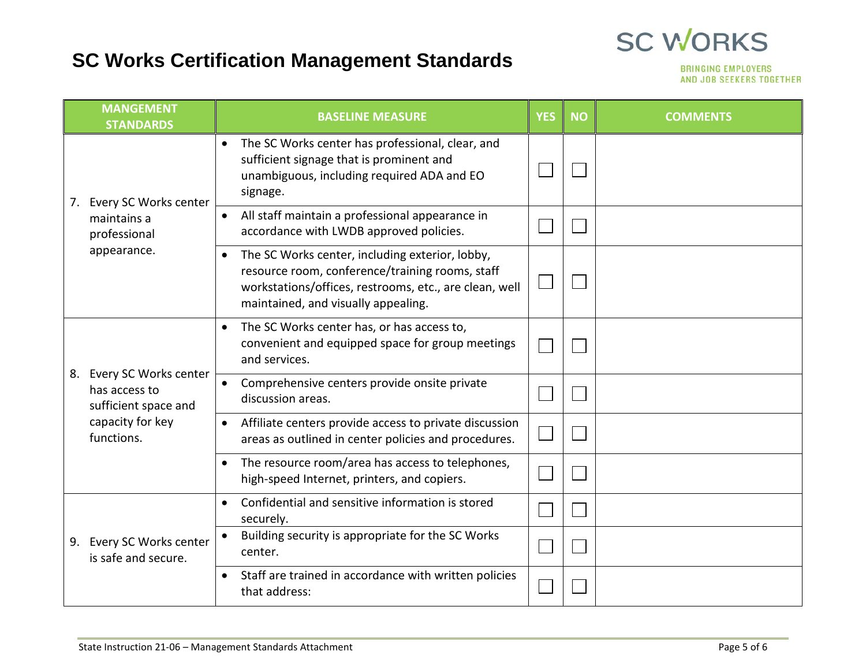## **SC Works Certification Management Standards**

|    | <b>MANGEMENT</b><br><b>STANDARDS</b>                                                             | <b>BASELINE MEASURE</b>                                                                                                                                                                             | <b>YES</b> | <b>NO</b> | <b>COMMENTS</b> |
|----|--------------------------------------------------------------------------------------------------|-----------------------------------------------------------------------------------------------------------------------------------------------------------------------------------------------------|------------|-----------|-----------------|
| 7. | Every SC Works center                                                                            | The SC Works center has professional, clear, and<br>$\bullet$<br>sufficient signage that is prominent and<br>unambiguous, including required ADA and EO<br>signage.                                 |            |           |                 |
|    | maintains a<br>professional                                                                      | All staff maintain a professional appearance in<br>accordance with LWDB approved policies.                                                                                                          |            |           |                 |
|    | appearance.                                                                                      | The SC Works center, including exterior, lobby,<br>resource room, conference/training rooms, staff<br>workstations/offices, restrooms, etc., are clean, well<br>maintained, and visually appealing. |            |           |                 |
| 8. |                                                                                                  | The SC Works center has, or has access to,<br>$\bullet$<br>convenient and equipped space for group meetings<br>and services.                                                                        |            |           |                 |
|    | Every SC Works center<br>has access to<br>sufficient space and<br>capacity for key<br>functions. | Comprehensive centers provide onsite private<br>discussion areas.                                                                                                                                   |            |           |                 |
|    |                                                                                                  | Affiliate centers provide access to private discussion<br>areas as outlined in center policies and procedures.                                                                                      |            |           |                 |
|    |                                                                                                  | The resource room/area has access to telephones,<br>high-speed Internet, printers, and copiers.                                                                                                     |            |           |                 |
|    |                                                                                                  | Confidential and sensitive information is stored<br>$\bullet$<br>securely.                                                                                                                          |            |           |                 |
| 9. | Every SC Works center<br>is safe and secure.                                                     | Building security is appropriate for the SC Works<br>center.                                                                                                                                        |            |           |                 |
|    |                                                                                                  | Staff are trained in accordance with written policies<br>that address:                                                                                                                              |            |           |                 |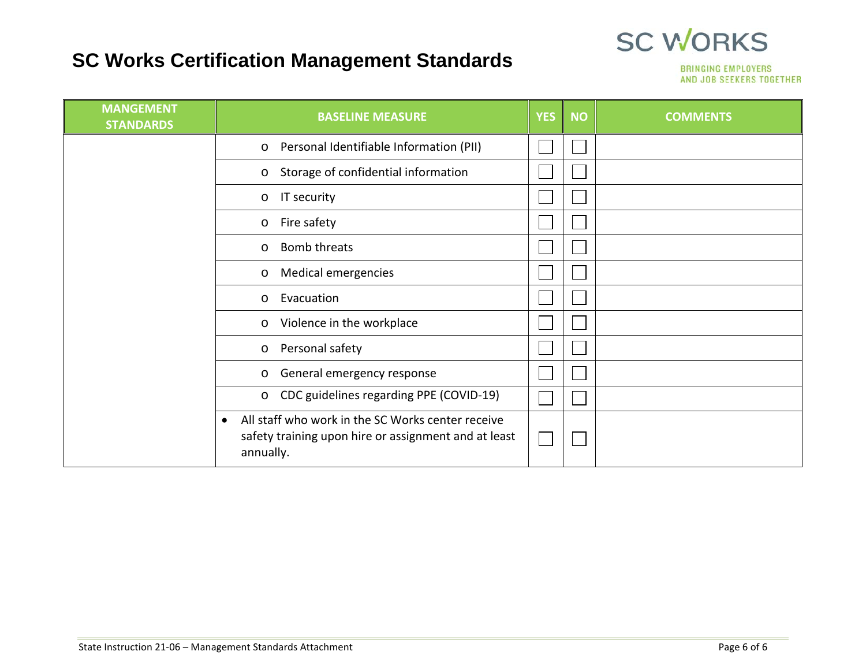## **SC Works Certification Management Standards**



| <b>MANGEMENT</b><br><b>STANDARDS</b> | <b>BASELINE MEASURE</b>                                                                                                             | <b>YES</b> | <b>NO</b> | <b>COMMENTS</b> |
|--------------------------------------|-------------------------------------------------------------------------------------------------------------------------------------|------------|-----------|-----------------|
|                                      | Personal Identifiable Information (PII)<br>$\circ$                                                                                  |            |           |                 |
|                                      | Storage of confidential information<br>$\circ$                                                                                      |            |           |                 |
|                                      | IT security<br>$\circ$                                                                                                              |            |           |                 |
|                                      | Fire safety<br>$\circ$                                                                                                              |            |           |                 |
|                                      | Bomb threats<br>O                                                                                                                   |            |           |                 |
|                                      | Medical emergencies<br>$\circ$                                                                                                      |            |           |                 |
|                                      | Evacuation<br>$\circ$                                                                                                               |            |           |                 |
|                                      | Violence in the workplace<br>$\circ$                                                                                                |            |           |                 |
|                                      | Personal safety<br>$\circ$                                                                                                          |            |           |                 |
|                                      | General emergency response<br>O                                                                                                     |            |           |                 |
|                                      | CDC guidelines regarding PPE (COVID-19)<br>$\circ$                                                                                  |            |           |                 |
|                                      | All staff who work in the SC Works center receive<br>$\bullet$<br>safety training upon hire or assignment and at least<br>annually. |            |           |                 |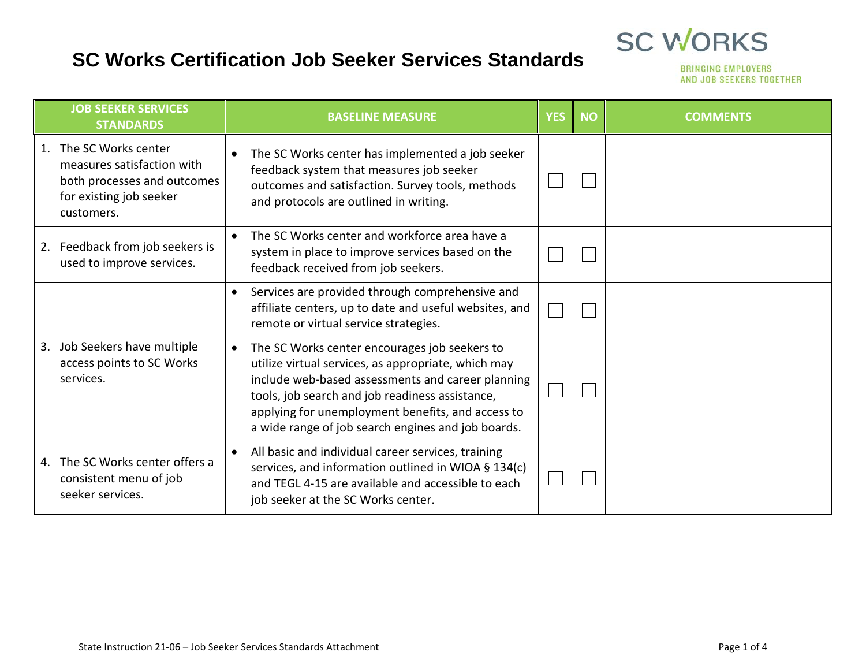#### **SC Works Certification Job Seeker Services Standards**



|    | <b>JOB SEEKER SERVICES</b><br><b>STANDARDS</b>                                                                               | <b>BASELINE MEASURE</b>                                                                                                                                                                                                                                                                                                 | <b>YES</b> | <b>NO</b> | <b>COMMENTS</b> |
|----|------------------------------------------------------------------------------------------------------------------------------|-------------------------------------------------------------------------------------------------------------------------------------------------------------------------------------------------------------------------------------------------------------------------------------------------------------------------|------------|-----------|-----------------|
|    | 1. The SC Works center<br>measures satisfaction with<br>both processes and outcomes<br>for existing job seeker<br>customers. | The SC Works center has implemented a job seeker<br>feedback system that measures job seeker<br>outcomes and satisfaction. Survey tools, methods<br>and protocols are outlined in writing.                                                                                                                              |            |           |                 |
|    | 2. Feedback from job seekers is<br>used to improve services.                                                                 | The SC Works center and workforce area have a<br>system in place to improve services based on the<br>feedback received from job seekers.                                                                                                                                                                                |            |           |                 |
|    |                                                                                                                              | Services are provided through comprehensive and<br>$\bullet$<br>affiliate centers, up to date and useful websites, and<br>remote or virtual service strategies.                                                                                                                                                         |            |           |                 |
| 3. | Job Seekers have multiple<br>access points to SC Works<br>services.                                                          | The SC Works center encourages job seekers to<br>utilize virtual services, as appropriate, which may<br>include web-based assessments and career planning<br>tools, job search and job readiness assistance,<br>applying for unemployment benefits, and access to<br>a wide range of job search engines and job boards. |            |           |                 |
|    | 4. The SC Works center offers a<br>consistent menu of job<br>seeker services.                                                | All basic and individual career services, training<br>services, and information outlined in WIOA § 134(c)<br>and TEGL 4-15 are available and accessible to each<br>job seeker at the SC Works center.                                                                                                                   |            |           |                 |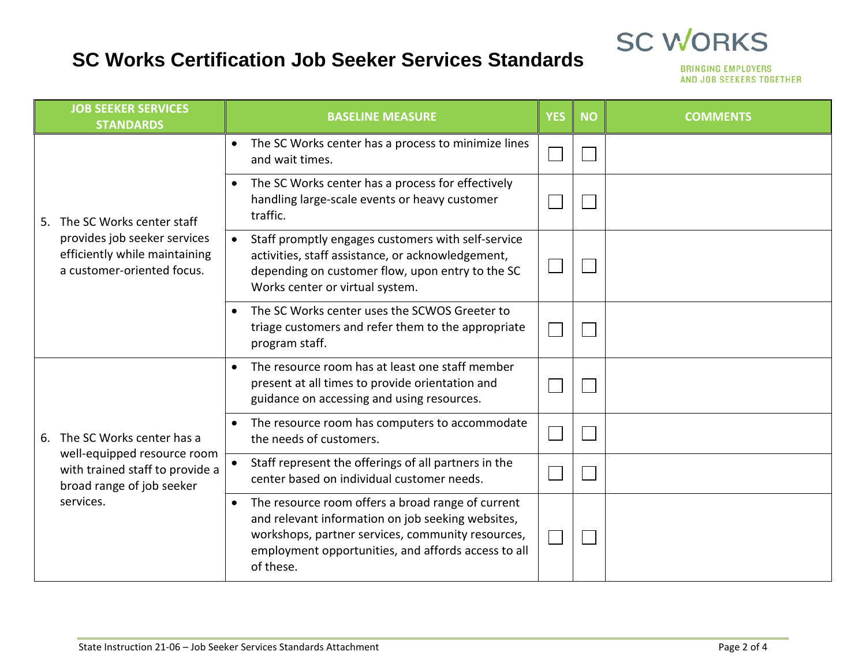#### **SC Works Certification Job Seeker Services Standards**

|  | <b>JOB SEEKER SERVICES</b><br><b>STANDARDS</b>                                                                              | <b>BASELINE MEASURE</b>                                                                                                                                                                                                                      | <b>YES</b> | <b>NO</b> | <b>COMMENTS</b> |
|--|-----------------------------------------------------------------------------------------------------------------------------|----------------------------------------------------------------------------------------------------------------------------------------------------------------------------------------------------------------------------------------------|------------|-----------|-----------------|
|  | 5. The SC Works center staff<br>provides job seeker services<br>efficiently while maintaining<br>a customer-oriented focus. | The SC Works center has a process to minimize lines<br>$\bullet$<br>and wait times.                                                                                                                                                          |            |           |                 |
|  |                                                                                                                             | The SC Works center has a process for effectively<br>$\bullet$<br>handling large-scale events or heavy customer<br>traffic.                                                                                                                  |            |           |                 |
|  |                                                                                                                             | Staff promptly engages customers with self-service<br>$\bullet$<br>activities, staff assistance, or acknowledgement,<br>depending on customer flow, upon entry to the SC<br>Works center or virtual system.                                  |            |           |                 |
|  |                                                                                                                             | The SC Works center uses the SCWOS Greeter to<br>$\bullet$<br>triage customers and refer them to the appropriate<br>program staff.                                                                                                           |            |           |                 |
|  |                                                                                                                             | The resource room has at least one staff member<br>$\bullet$<br>present at all times to provide orientation and<br>guidance on accessing and using resources.                                                                                |            |           |                 |
|  | 6. The SC Works center has a                                                                                                | The resource room has computers to accommodate<br>$\bullet$<br>the needs of customers.                                                                                                                                                       |            |           |                 |
|  | well-equipped resource room<br>with trained staff to provide a<br>broad range of job seeker<br>services.                    | Staff represent the offerings of all partners in the<br>center based on individual customer needs.                                                                                                                                           |            |           |                 |
|  |                                                                                                                             | The resource room offers a broad range of current<br>$\bullet$<br>and relevant information on job seeking websites,<br>workshops, partner services, community resources,<br>employment opportunities, and affords access to all<br>of these. |            |           |                 |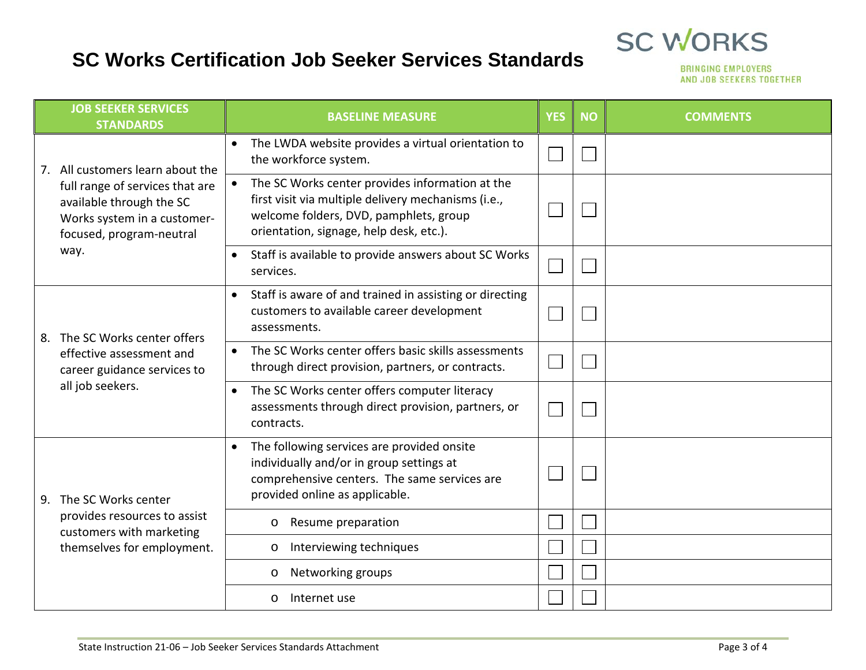#### **SC Works Certification Job Seeker Services Standards**

|  | <b>JOB SEEKER SERVICES</b><br><b>STANDARDS</b>                                                                                                                     | <b>BASELINE MEASURE</b>                                                                                                                                                                                  | <b>YES</b> | <b>NO</b> | <b>COMMENTS</b> |
|--|--------------------------------------------------------------------------------------------------------------------------------------------------------------------|----------------------------------------------------------------------------------------------------------------------------------------------------------------------------------------------------------|------------|-----------|-----------------|
|  | 7. All customers learn about the<br>full range of services that are<br>available through the SC<br>Works system in a customer-<br>focused, program-neutral<br>way. | The LWDA website provides a virtual orientation to<br>$\bullet$<br>the workforce system.                                                                                                                 |            |           |                 |
|  |                                                                                                                                                                    | The SC Works center provides information at the<br>$\bullet$<br>first visit via multiple delivery mechanisms (i.e.,<br>welcome folders, DVD, pamphlets, group<br>orientation, signage, help desk, etc.). |            |           |                 |
|  |                                                                                                                                                                    | Staff is available to provide answers about SC Works<br>$\bullet$<br>services.                                                                                                                           |            |           |                 |
|  | 8. The SC Works center offers                                                                                                                                      | Staff is aware of and trained in assisting or directing<br>$\bullet$<br>customers to available career development<br>assessments.                                                                        |            |           |                 |
|  | effective assessment and<br>career guidance services to                                                                                                            | The SC Works center offers basic skills assessments<br>$\bullet$<br>through direct provision, partners, or contracts.                                                                                    |            |           |                 |
|  | all job seekers.                                                                                                                                                   | The SC Works center offers computer literacy<br>$\bullet$<br>assessments through direct provision, partners, or<br>contracts.                                                                            |            |           |                 |
|  | 9. The SC Works center                                                                                                                                             | The following services are provided onsite<br>$\bullet$<br>individually and/or in group settings at<br>comprehensive centers. The same services are<br>provided online as applicable.                    |            |           |                 |
|  | provides resources to assist<br>customers with marketing                                                                                                           | Resume preparation<br>$\circ$                                                                                                                                                                            |            |           |                 |
|  | themselves for employment.                                                                                                                                         | Interviewing techniques<br>$\circ$                                                                                                                                                                       |            |           |                 |
|  |                                                                                                                                                                    | Networking groups<br>$\circ$                                                                                                                                                                             |            |           |                 |
|  |                                                                                                                                                                    | Internet use<br>$\circ$                                                                                                                                                                                  |            |           |                 |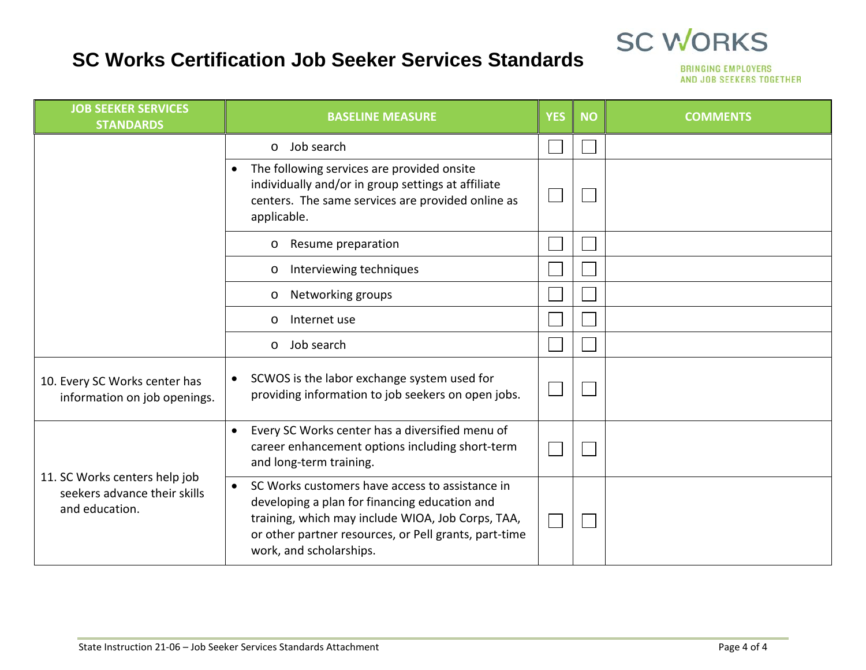#### **SC Works Certification Job Seeker Services Standards**



| <b>JOB SEEKER SERVICES</b><br><b>STANDARDS</b>                                  | <b>BASELINE MEASURE</b>                                                                                                                                                                                                                                | <b>YES</b> | <b>NO</b> | <b>COMMENTS</b> |
|---------------------------------------------------------------------------------|--------------------------------------------------------------------------------------------------------------------------------------------------------------------------------------------------------------------------------------------------------|------------|-----------|-----------------|
|                                                                                 | Job search<br>$\circ$                                                                                                                                                                                                                                  |            |           |                 |
|                                                                                 | The following services are provided onsite<br>$\bullet$<br>individually and/or in group settings at affiliate<br>centers. The same services are provided online as<br>applicable.                                                                      |            |           |                 |
|                                                                                 | Resume preparation<br>$\circ$                                                                                                                                                                                                                          |            |           |                 |
|                                                                                 | Interviewing techniques<br>$\circ$                                                                                                                                                                                                                     |            |           |                 |
|                                                                                 | Networking groups<br>$\circ$                                                                                                                                                                                                                           |            |           |                 |
|                                                                                 | Internet use<br>$\circ$                                                                                                                                                                                                                                |            |           |                 |
|                                                                                 | Job search<br>$\circ$                                                                                                                                                                                                                                  |            |           |                 |
| 10. Every SC Works center has<br>information on job openings.                   | SCWOS is the labor exchange system used for<br>$\bullet$<br>providing information to job seekers on open jobs.                                                                                                                                         |            |           |                 |
|                                                                                 | Every SC Works center has a diversified menu of<br>$\bullet$<br>career enhancement options including short-term<br>and long-term training.                                                                                                             |            |           |                 |
| 11. SC Works centers help job<br>seekers advance their skills<br>and education. | SC Works customers have access to assistance in<br>$\bullet$<br>developing a plan for financing education and<br>training, which may include WIOA, Job Corps, TAA,<br>or other partner resources, or Pell grants, part-time<br>work, and scholarships. |            |           |                 |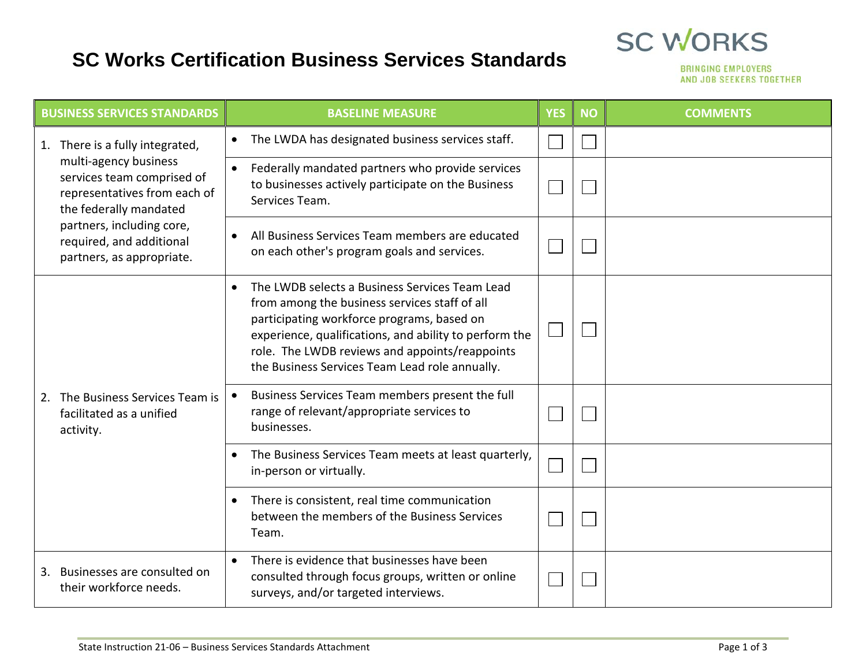#### **SC Works Certification Business Services Standards**



|    | <b>BUSINESS SERVICES STANDARDS</b>                                                                            | <b>BASELINE MEASURE</b>                                                                                                                                                                                                                                                                                                  | <b>YES</b> | <b>NO</b> | <b>COMMENTS</b> |
|----|---------------------------------------------------------------------------------------------------------------|--------------------------------------------------------------------------------------------------------------------------------------------------------------------------------------------------------------------------------------------------------------------------------------------------------------------------|------------|-----------|-----------------|
|    | 1. There is a fully integrated,                                                                               | The LWDA has designated business services staff.<br>$\bullet$                                                                                                                                                                                                                                                            |            |           |                 |
|    | multi-agency business<br>services team comprised of<br>representatives from each of<br>the federally mandated | Federally mandated partners who provide services<br>$\bullet$<br>to businesses actively participate on the Business<br>Services Team.                                                                                                                                                                                    |            |           |                 |
|    | partners, including core,<br>required, and additional<br>partners, as appropriate.                            | All Business Services Team members are educated<br>on each other's program goals and services.                                                                                                                                                                                                                           |            |           |                 |
|    |                                                                                                               | The LWDB selects a Business Services Team Lead<br>$\bullet$<br>from among the business services staff of all<br>participating workforce programs, based on<br>experience, qualifications, and ability to perform the<br>role. The LWDB reviews and appoints/reappoints<br>the Business Services Team Lead role annually. |            |           |                 |
| 2. | The Business Services Team is<br>facilitated as a unified<br>activity.                                        | Business Services Team members present the full<br>range of relevant/appropriate services to<br>businesses.                                                                                                                                                                                                              |            |           |                 |
|    |                                                                                                               | The Business Services Team meets at least quarterly,<br>$\bullet$<br>in-person or virtually.                                                                                                                                                                                                                             |            |           |                 |
|    |                                                                                                               | There is consistent, real time communication<br>between the members of the Business Services<br>Team.                                                                                                                                                                                                                    |            |           |                 |
| 3. | Businesses are consulted on<br>their workforce needs.                                                         | There is evidence that businesses have been<br>$\bullet$<br>consulted through focus groups, written or online<br>surveys, and/or targeted interviews.                                                                                                                                                                    |            |           |                 |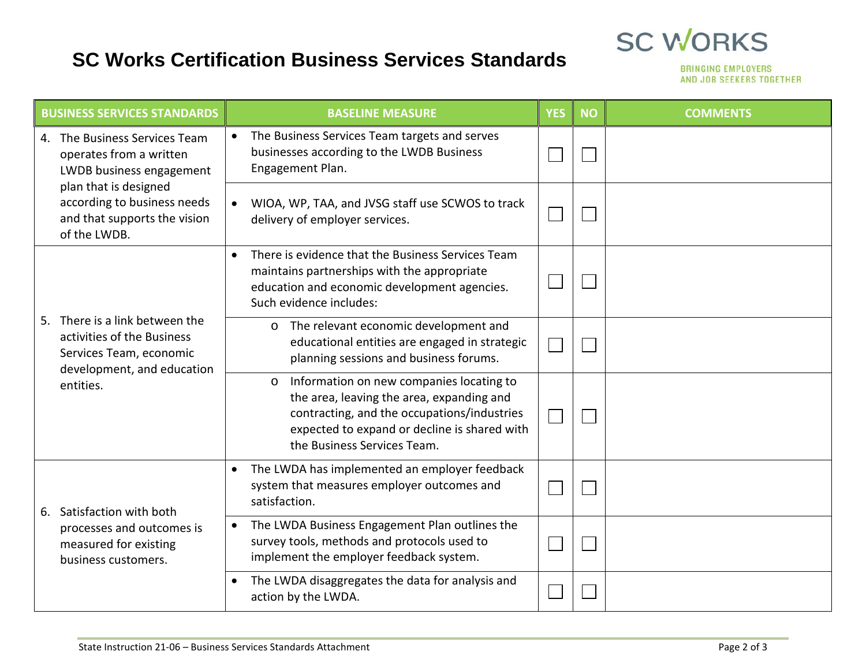#### **SC Works Certification Business Services Standards**



| <b>BUSINESS SERVICES STANDARDS</b> |                                                                                                                                                                                              | <b>BASELINE MEASURE</b>                                                                                                                                                                                                        | <b>YES</b> | <b>NO</b> | <b>COMMENTS</b> |
|------------------------------------|----------------------------------------------------------------------------------------------------------------------------------------------------------------------------------------------|--------------------------------------------------------------------------------------------------------------------------------------------------------------------------------------------------------------------------------|------------|-----------|-----------------|
|                                    | 4. The Business Services Team<br>operates from a written<br>LWDB business engagement<br>plan that is designed<br>according to business needs<br>and that supports the vision<br>of the LWDB. | The Business Services Team targets and serves<br>businesses according to the LWDB Business<br>Engagement Plan.                                                                                                                 |            |           |                 |
|                                    |                                                                                                                                                                                              | WIOA, WP, TAA, and JVSG staff use SCWOS to track<br>$\bullet$<br>delivery of employer services.                                                                                                                                |            |           |                 |
|                                    | 5. There is a link between the<br>activities of the Business<br>Services Team, economic<br>development, and education<br>entities.                                                           | There is evidence that the Business Services Team<br>$\bullet$<br>maintains partnerships with the appropriate<br>education and economic development agencies.<br>Such evidence includes:                                       |            |           |                 |
|                                    |                                                                                                                                                                                              | The relevant economic development and<br>$\circ$<br>educational entities are engaged in strategic<br>planning sessions and business forums.                                                                                    |            |           |                 |
|                                    |                                                                                                                                                                                              | Information on new companies locating to<br>$\circ$<br>the area, leaving the area, expanding and<br>contracting, and the occupations/industries<br>expected to expand or decline is shared with<br>the Business Services Team. |            |           |                 |
| 6.                                 | Satisfaction with both<br>processes and outcomes is<br>measured for existing<br>business customers.                                                                                          | The LWDA has implemented an employer feedback<br>$\bullet$<br>system that measures employer outcomes and<br>satisfaction.                                                                                                      |            |           |                 |
|                                    |                                                                                                                                                                                              | The LWDA Business Engagement Plan outlines the<br>$\bullet$<br>survey tools, methods and protocols used to<br>implement the employer feedback system.                                                                          |            |           |                 |
|                                    |                                                                                                                                                                                              | The LWDA disaggregates the data for analysis and<br>action by the LWDA.                                                                                                                                                        |            |           |                 |